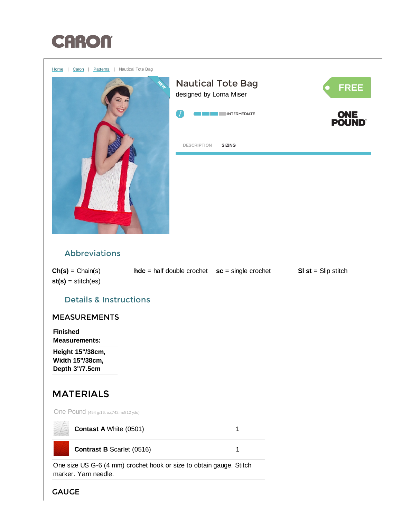

<span id="page-0-0"></span>

One size US G-6 (4 mm) crochet hook or size to obtain gauge. Stitch marker. Yarn needle.

GAUGE